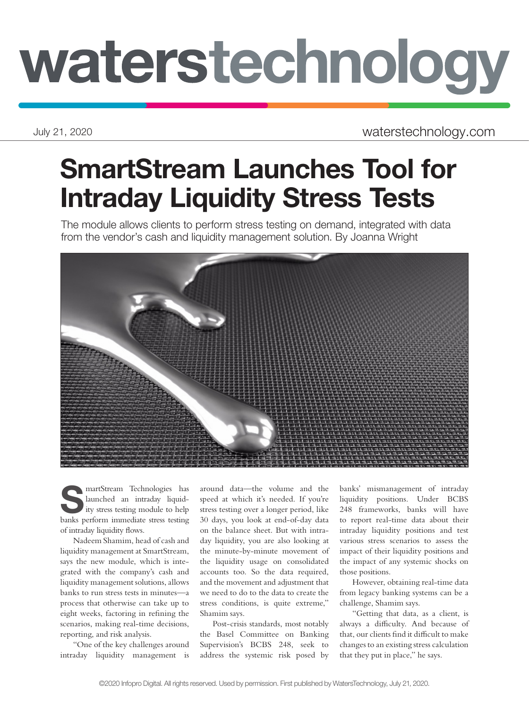## waterstechnology

July 21, 2020 waterstechnology.com

## SmartStream Launches Tool for Intraday Liquidity Stress Tests

The module allows clients to perform stress testing on demand, integrated with data from the vendor's cash and liquidity management solution. By Joanna Wright



**SMARK** Manufold an intraday liquid-<br>ity stress testing module to help<br>hanks parform immediate stress testing launched an intraday liquidbanks perform immediate stress testing of intraday liquidity flows.

Nadeem Shamim, head of cash and liquidity management at SmartStream, says the new module, which is integrated with the company's cash and liquidity management solutions, allows banks to run stress tests in minutes—a process that otherwise can take up to eight weeks, factoring in refining the scenarios, making real-time decisions, reporting, and risk analysis.

"One of the key challenges around intraday liquidity management is around data—the volume and the speed at which it's needed. If you're stress testing over a longer period, like 30 days, you look at end-of-day data on the balance sheet. But with intraday liquidity, you are also looking at the minute-by-minute movement of the liquidity usage on consolidated accounts too. So the data required, and the movement and adjustment that we need to do to the data to create the stress conditions, is quite extreme," Shamim says.

Post-crisis standards, most notably the Basel Committee on Banking Supervision's BCBS 248, seek to address the systemic risk posed by

banks' mismanagement of intraday liquidity positions. Under BCBS 248 frameworks, banks will have to report real-time data about their intraday liquidity positions and test various stress scenarios to assess the impact of their liquidity positions and the impact of any systemic shocks on those positions.

However, obtaining real-time data from legacy banking systems can be a challenge, Shamim says.

"Getting that data, as a client, is always a difficulty. And because of that, our clients find it difficult to make changes to an existing stress calculation that they put in place," he says.